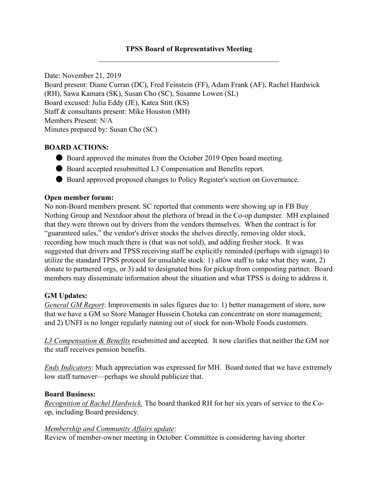## TPSS Board of Representatives Meeting

Date: November 21, 2019 Board present: Diane Curran (DC), Fred Feinstein (FF), Adam Frank (AF), Rachel Hardwick (RH), Sawa Kamara (SK), Susan Cho (SC), Susanne Lowen (SL) Board excused: Julia Eddy (JE), Katea Stitt (KS) Staff & consultants present: Mike Houston (MH) Members Present: N/A Minutes prepared by: Susan Cho (SC)

### BOARD ACTIONS:

- Board approved the minutes from the October 2019 Open board meeting.
- Board accepted resubmitted L3 Compensation and Benefits report.
- Board approved proposed changes to Policy Register's section on Governance.

#### Open member forum:

No non-Board members present. SC reported that comments were showing up in FB Buy Nothing Group and Nextdoor about the plethora of bread in the Co-op dumpster. MH explained that they were thrown out by drivers from the vendors themselves. When the contract is for "guaranteed sales," the vendor's driver stocks the shelves directly, removing older stock, recording how much much there is (that was not sold), and adding fresher stock. It was suggested that drivers and TPSS receiving staff be explicitly reminded (perhaps with signage) to utilize the standard TPSS protocol for unsalable stock: 1) allow staff to take what they want, 2) donate to partnered orgs, or 3) add to designated bins for pickup from composting partner. Board members may disseminate information about the situation and what TPSS is doing to address it.

#### GM Updates:

General GM Report: Improvements in sales figures due to: 1) better management of store, now that we have a GM so Store Manager Hussein Choteka can concentrate on store management; and 2) UNFI is no longer regularly running out of stock for non-Whole Foods customers.

L3 Compensation & Benefits resubmitted and accepted. It now clarifies that neither the GM nor the staff receives pension benefits.

Ends Indicators: Much appreciation was expressed for MH. Board noted that we have extremely low staff turnover—perhaps we should publicize that.

#### Board Business:

Recognition of Rachel Hardwick. The board thanked RH for her six years of service to the Coop, including Board presidency.

#### Membership and Community Affairs update:

Review of member-owner meeting in October: Committee is considering having shorter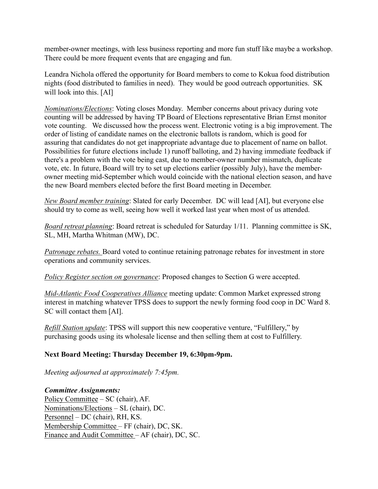member-owner meetings, with less business reporting and more fun stuff like maybe a workshop. There could be more frequent events that are engaging and fun.

Leandra Nichola offered the opportunity for Board members to come to Kokua food distribution nights (food distributed to families in need). They would be good outreach opportunities. SK will look into this. [AI]

Nominations/Elections: Voting closes Monday. Member concerns about privacy during vote counting will be addressed by having TP Board of Elections representative Brian Ernst monitor vote counting. We discussed how the process went. Electronic voting is a big improvement. The order of listing of candidate names on the electronic ballots is random, which is good for assuring that candidates do not get inappropriate advantage due to placement of name on ballot. Possibilities for future elections include 1) runoff balloting, and 2) having immediate feedback if there's a problem with the vote being cast, due to member-owner number mismatch, duplicate vote, etc. In future, Board will try to set up elections earlier (possibly July), have the memberowner meeting mid-September which would coincide with the national election season, and have the new Board members elected before the first Board meeting in December.

New Board member training: Slated for early December. DC will lead [AI], but everyone else should try to come as well, seeing how well it worked last year when most of us attended.

Board retreat planning: Board retreat is scheduled for Saturday 1/11. Planning committee is SK, SL, MH, Martha Whitman (MW), DC.

Patronage rebates. Board voted to continue retaining patronage rebates for investment in store operations and community services.

Policy Register section on governance: Proposed changes to Section G were accepted.

Mid-Atlantic Food Cooperatives Alliance meeting update: Common Market expressed strong interest in matching whatever TPSS does to support the newly forming food coop in DC Ward 8. SC will contact them [AI].

Refill Station update: TPSS will support this new cooperative venture, "Fulfillery," by purchasing goods using its wholesale license and then selling them at cost to Fulfillery.

# Next Board Meeting: Thursday December 19, 6:30pm-9pm.

Meeting adjourned at approximately 7:45pm.

Committee Assignments:

Policy Committee – SC (chair), AF. Nominations/Elections – SL (chair), DC. Personnel – DC (chair), RH, KS. Membership Committee – FF (chair), DC, SK. Finance and Audit Committee – AF (chair), DC, SC.